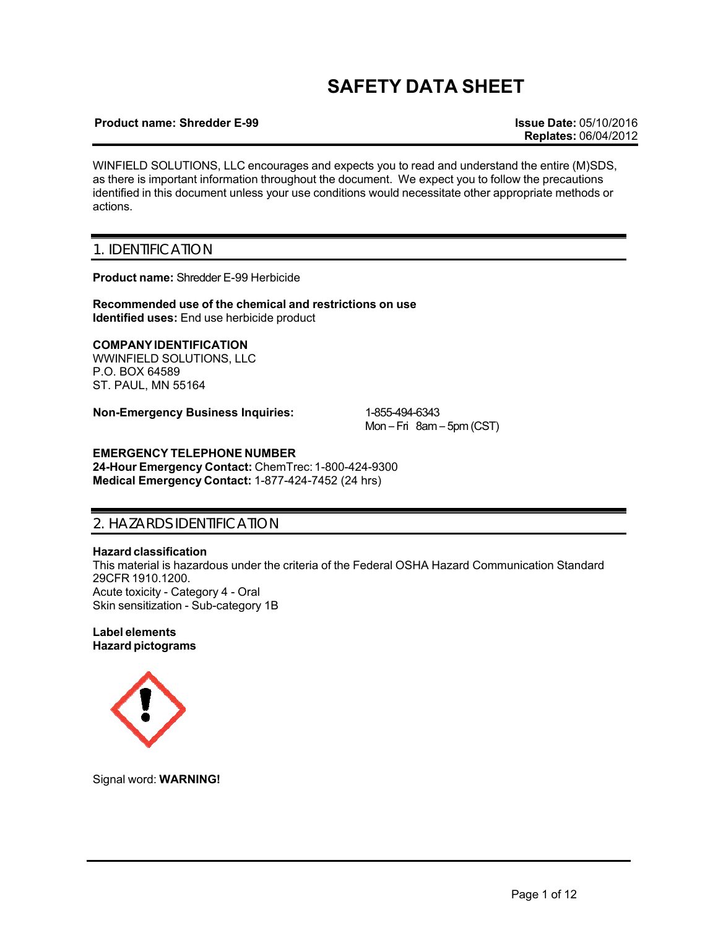# **SAFETY DATA SHEET**

### **Product name: Shredder E-99 Issue Date:** 05/10/2016

WINFIELD SOLUTIONS, LLC encourages and expects you to read and understand the entire (M)SDS, as there is important information throughout the document. We expect you to follow the precautions identified in this document unless your use conditions would necessitate other appropriate methods or actions.

### 1. IDENTIFICATION

**Product name:** Shredder E-99 Herbicide

**Recommended use of the chemical and restrictions on use Identified uses:** End use herbicide product

**COMPANY IDENTIFICATION** WWINFIELD SOLUTIONS, LLC P.O. BOX 64589 ST. PAUL, MN 55164

**Non-Emergency Business Inquiries:** 1-855-494-6343

Mon – Fri 8am – 5pm (CST)

### **EMERGENCY TELEPHONE NUMBER**

**24-Hour Emergency Contact:** ChemTrec: 1-800-424-9300 **Medical Emergency Contact:** 1-877-424-7452 (24 hrs)

### 2. HAZARDS IDENTIFICATION

### **Hazard classification**

This material is hazardous under the criteria of the Federal OSHA Hazard Communication Standard 29CFR 1910.1200. Acute toxicity - Category 4 - Oral Skin sensitization - Sub-category 1B

**Label elements Hazard pictograms**



Signal word: **WARNING!**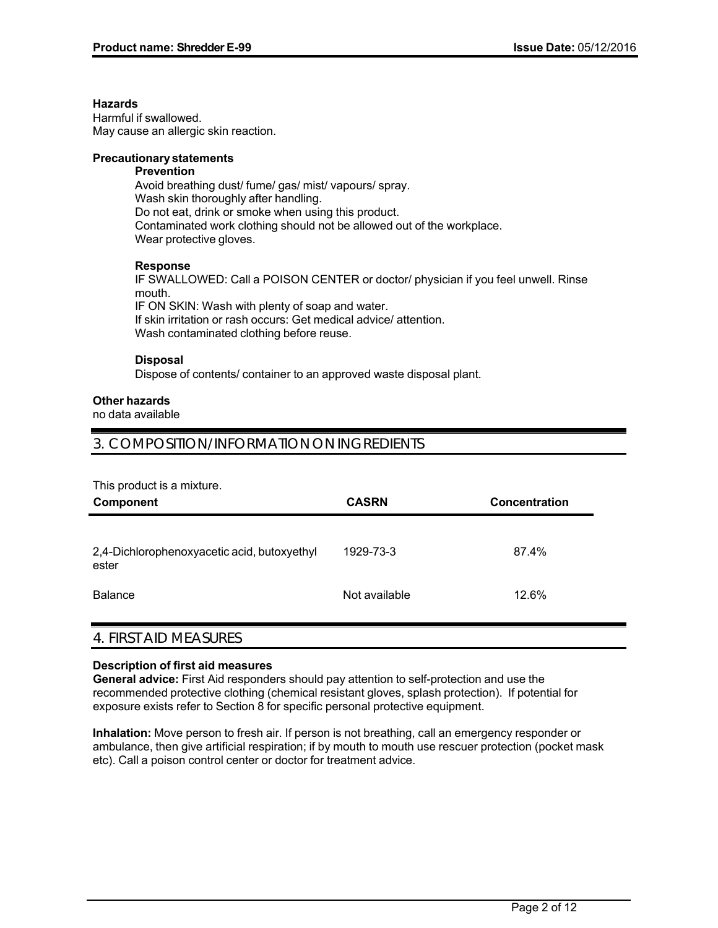### **Hazards**

Harmful if swallowed. May cause an allergic skin reaction.

### **Precautionary statements**

### **Prevention**

Avoid breathing dust/ fume/ gas/ mist/ vapours/ spray. Wash skin thoroughly after handling. Do not eat, drink or smoke when using this product. Contaminated work clothing should not be allowed out of the workplace. Wear protective gloves.

### **Response**

IF SWALLOWED: Call a POISON CENTER or doctor/ physician if you feel unwell. Rinse mouth. IF ON SKIN: Wash with plenty of soap and water.

If skin irritation or rash occurs: Get medical advice/ attention. Wash contaminated clothing before reuse.

### **Disposal**

Dispose of contents/ container to an approved waste disposal plant.

### **Other hazards**

no data available

## 3. COMPOSITION/INFORMATION ON INGREDIENTS

This product is a mixture.

| Component                                            | <b>CASRN</b>  | <b>Concentration</b> |
|------------------------------------------------------|---------------|----------------------|
|                                                      |               |                      |
| 2,4-Dichlorophenoxyacetic acid, butoxyethyl<br>ester | 1929-73-3     | 87.4%                |
| <b>Balance</b>                                       | Not available | 12.6%                |

# 4. FIRST AID MEASURES

### **Description of first aid measures**

**General advice:** First Aid responders should pay attention to self-protection and use the recommended protective clothing (chemical resistant gloves, splash protection). If potential for exposure exists refer to Section 8 for specific personal protective equipment.

**Inhalation:** Move person to fresh air. If person is not breathing, call an emergency responder or ambulance, then give artificial respiration; if by mouth to mouth use rescuer protection (pocket mask etc). Call a poison control center or doctor for treatment advice.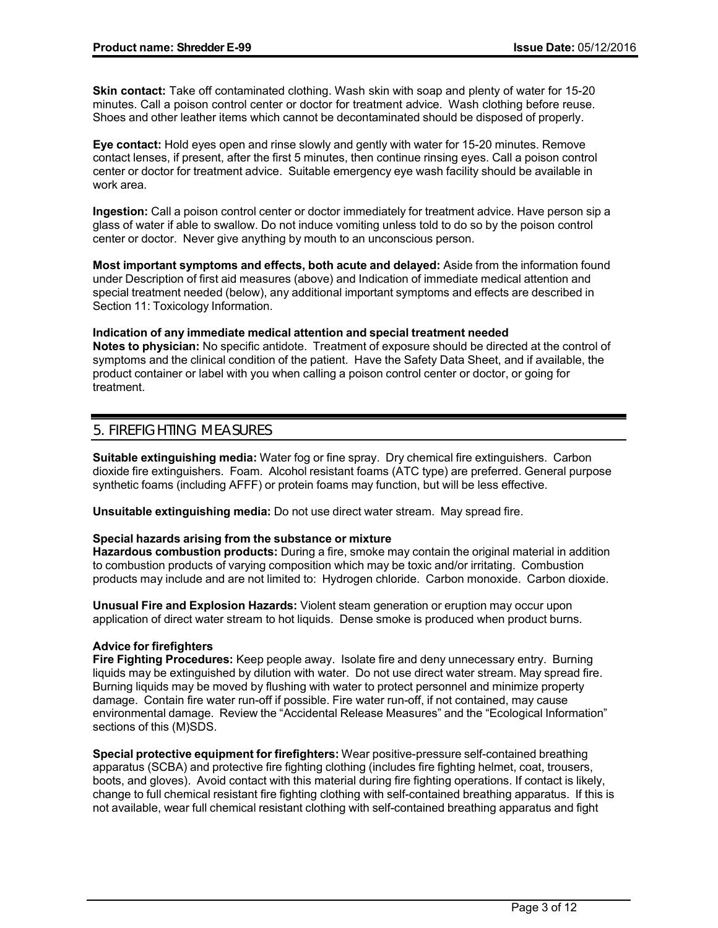**Skin contact:** Take off contaminated clothing. Wash skin with soap and plenty of water for 15-20 minutes. Call a poison control center or doctor for treatment advice. Wash clothing before reuse. Shoes and other leather items which cannot be decontaminated should be disposed of properly.

**Eye contact:** Hold eyes open and rinse slowly and gently with water for 15-20 minutes. Remove contact lenses, if present, after the first 5 minutes, then continue rinsing eyes. Call a poison control center or doctor for treatment advice. Suitable emergency eye wash facility should be available in work area.

**Ingestion:** Call a poison control center or doctor immediately for treatment advice. Have person sip a glass of water if able to swallow. Do not induce vomiting unless told to do so by the poison control center or doctor. Never give anything by mouth to an unconscious person.

**Most important symptoms and effects, both acute and delayed:** Aside from the information found under Description of first aid measures (above) and Indication of immediate medical attention and special treatment needed (below), any additional important symptoms and effects are described in Section 11: Toxicology Information.

**Indication of any immediate medical attention and special treatment needed Notes to physician:** No specific antidote. Treatment of exposure should be directed at the control of symptoms and the clinical condition of the patient. Have the Safety Data Sheet, and if available, the product container or label with you when calling a poison control center or doctor, or going for treatment.

# 5. FIREFIGHTING MEASURES

**Suitable extinguishing media:** Water fog or fine spray. Dry chemical fire extinguishers. Carbon dioxide fire extinguishers. Foam. Alcohol resistant foams (ATC type) are preferred. General purpose synthetic foams (including AFFF) or protein foams may function, but will be less effective.

**Unsuitable extinguishing media:** Do not use direct water stream. May spread fire.

### **Special hazards arising from the substance or mixture**

**Hazardous combustion products:** During a fire, smoke may contain the original material in addition to combustion products of varying composition which may be toxic and/or irritating. Combustion products may include and are not limited to: Hydrogen chloride. Carbon monoxide. Carbon dioxide.

**Unusual Fire and Explosion Hazards:** Violent steam generation or eruption may occur upon application of direct water stream to hot liquids. Dense smoke is produced when product burns.

### **Advice for firefighters**

**Fire Fighting Procedures:** Keep people away. Isolate fire and deny unnecessary entry. Burning liquids may be extinguished by dilution with water. Do not use direct water stream. May spread fire. Burning liquids may be moved by flushing with water to protect personnel and minimize property damage. Contain fire water run-off if possible. Fire water run-off, if not contained, may cause environmental damage. Review the "Accidental Release Measures" and the "Ecological Information" sections of this (M)SDS.

**Special protective equipment for firefighters:** Wear positive-pressure self-contained breathing apparatus (SCBA) and protective fire fighting clothing (includes fire fighting helmet, coat, trousers, boots, and gloves). Avoid contact with this material during fire fighting operations. If contact is likely, change to full chemical resistant fire fighting clothing with self-contained breathing apparatus. If this is not available, wear full chemical resistant clothing with self-contained breathing apparatus and fight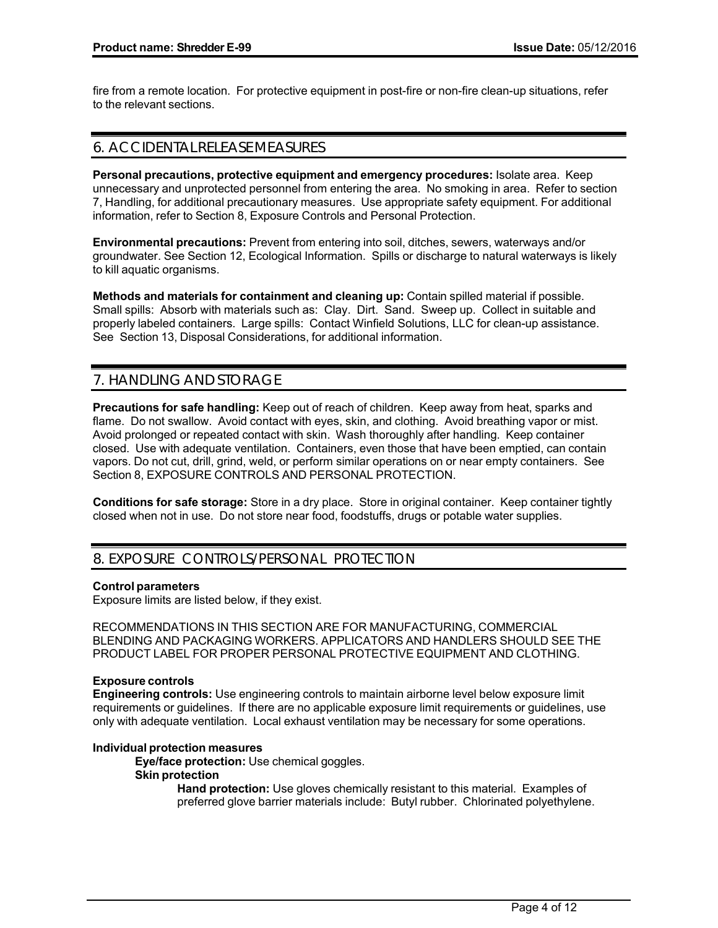fire from a remote location. For protective equipment in post-fire or non-fire clean-up situations, refer to the relevant sections.

## 6. ACCIDENTAL RELEASE MEASURES

**Personal precautions, protective equipment and emergency procedures:** Isolate area. Keep unnecessary and unprotected personnel from entering the area. No smoking in area. Refer to section 7, Handling, for additional precautionary measures. Use appropriate safety equipment. For additional information, refer to Section 8, Exposure Controls and Personal Protection.

**Environmental precautions:** Prevent from entering into soil, ditches, sewers, waterways and/or groundwater. See Section 12, Ecological Information. Spills or discharge to natural waterways is likely to kill aquatic organisms.

**Methods and materials for containment and cleaning up:** Contain spilled material if possible. Small spills: Absorb with materials such as: Clay. Dirt. Sand. Sweep up. Collect in suitable and properly labeled containers. Large spills: Contact Winfield Solutions, LLC for clean-up assistance. See Section 13, Disposal Considerations, for additional information.

# 7. HANDLING AND STORAGE

**Precautions for safe handling:** Keep out of reach of children. Keep away from heat, sparks and flame. Do not swallow. Avoid contact with eyes, skin, and clothing. Avoid breathing vapor or mist. Avoid prolonged or repeated contact with skin. Wash thoroughly after handling. Keep container closed. Use with adequate ventilation. Containers, even those that have been emptied, can contain vapors. Do not cut, drill, grind, weld, or perform similar operations on or near empty containers. See Section 8, EXPOSURE CONTROLS AND PERSONAL PROTECTION.

**Conditions for safe storage:** Store in a dry place. Store in original container. Keep container tightly closed when not in use. Do not store near food, foodstuffs, drugs or potable water supplies.

# 8. EXPOSURE CONTROLS/PERSONAL PROTECTION

### **Control parameters**

Exposure limits are listed below, if they exist.

RECOMMENDATIONS IN THIS SECTION ARE FOR MANUFACTURING, COMMERCIAL BLENDING AND PACKAGING WORKERS. APPLICATORS AND HANDLERS SHOULD SEE THE PRODUCT LABEL FOR PROPER PERSONAL PROTECTIVE EQUIPMENT AND CLOTHING.

### **Exposure controls**

**Engineering controls:** Use engineering controls to maintain airborne level below exposure limit requirements or guidelines. If there are no applicable exposure limit requirements or guidelines, use only with adequate ventilation. Local exhaust ventilation may be necessary for some operations.

### **Individual protection measures**

**Eye/face protection:** Use chemical goggles.

### **Skin protection**

**Hand protection:** Use gloves chemically resistant to this material. Examples of preferred glove barrier materials include: Butyl rubber. Chlorinated polyethylene.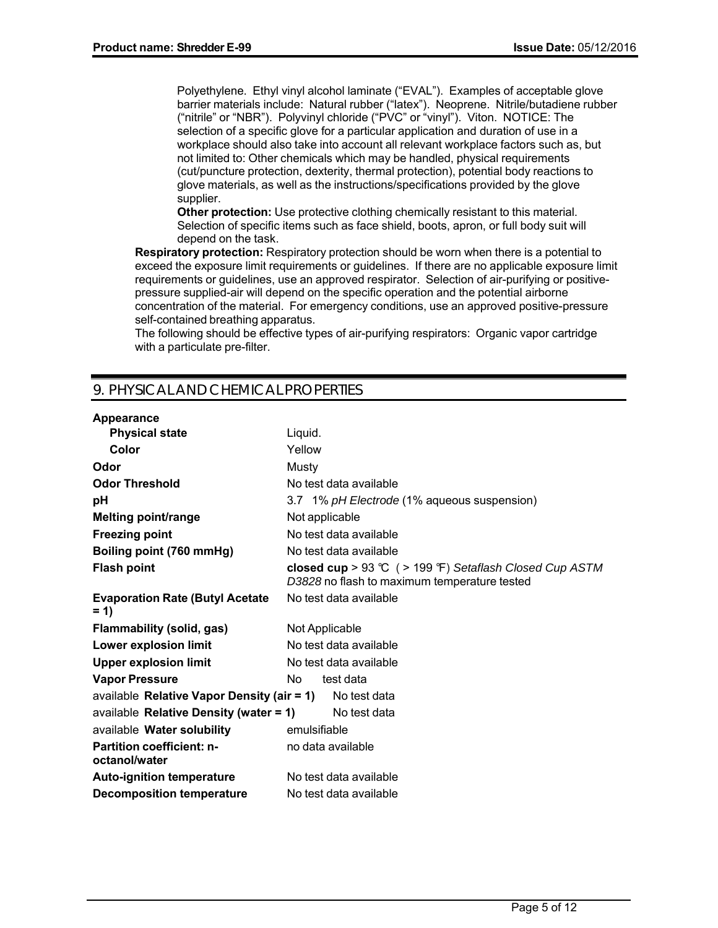Polyethylene. Ethyl vinyl alcohol laminate ("EVAL"). Examples of acceptable glove barrier materials include: Natural rubber ("latex"). Neoprene. Nitrile/butadiene rubber ("nitrile" or "NBR"). Polyvinyl chloride ("PVC" or "vinyl"). Viton. NOTICE: The selection of a specific glove for a particular application and duration of use in a workplace should also take into account all relevant workplace factors such as, but not limited to: Other chemicals which may be handled, physical requirements (cut/puncture protection, dexterity, thermal protection), potential body reactions to glove materials, as well as the instructions/specifications provided by the glove supplier.

**Other protection:** Use protective clothing chemically resistant to this material. Selection of specific items such as face shield, boots, apron, or full body suit will depend on the task.

**Respiratory protection:** Respiratory protection should be worn when there is a potential to exceed the exposure limit requirements or guidelines. If there are no applicable exposure limit requirements or guidelines, use an approved respirator. Selection of air-purifying or positivepressure supplied-air will depend on the specific operation and the potential airborne concentration of the material. For emergency conditions, use an approved positive-pressure self-contained breathing apparatus.

The following should be effective types of air-purifying respirators: Organic vapor cartridge with a particulate pre-filter.

# 9. PHYSICAL AND CHEMICAL PROPERTIES

### **Appearance**

| <b>Physical state</b>                                   | Liquid.                                                                                                |
|---------------------------------------------------------|--------------------------------------------------------------------------------------------------------|
| Color                                                   | Yellow                                                                                                 |
| Odor                                                    | Musty                                                                                                  |
| <b>Odor Threshold</b>                                   | No test data available                                                                                 |
| рH                                                      | 3.7 1% pH Electrode (1% aqueous suspension)                                                            |
| <b>Melting point/range</b>                              | Not applicable                                                                                         |
| <b>Freezing point</b>                                   | No test data available                                                                                 |
| Boiling point (760 mmHg)                                | No test data available                                                                                 |
| <b>Flash point</b>                                      | closed cup > 93 ℃ (> 199 °F) Setaflash Closed Cup ASTM<br>D3828 no flash to maximum temperature tested |
| <b>Evaporation Rate (Butyl Acetate)</b><br>$= 1$        | No test data available                                                                                 |
| <b>Flammability (solid, gas)</b>                        | Not Applicable                                                                                         |
| Lower explosion limit                                   | No test data available                                                                                 |
| <b>Upper explosion limit</b>                            | No test data available                                                                                 |
| <b>Vapor Pressure</b>                                   | test data<br>No.                                                                                       |
| available Relative Vapor Density (air = 1) No test data |                                                                                                        |
| available Relative Density (water $= 1$ )               | No test data                                                                                           |
| available Water solubility                              | emulsifiable                                                                                           |
| <b>Partition coefficient: n-</b><br>octanol/water       | no data available                                                                                      |
| <b>Auto-ignition temperature</b>                        | No test data available                                                                                 |
| <b>Decomposition temperature</b>                        | No test data available                                                                                 |
|                                                         |                                                                                                        |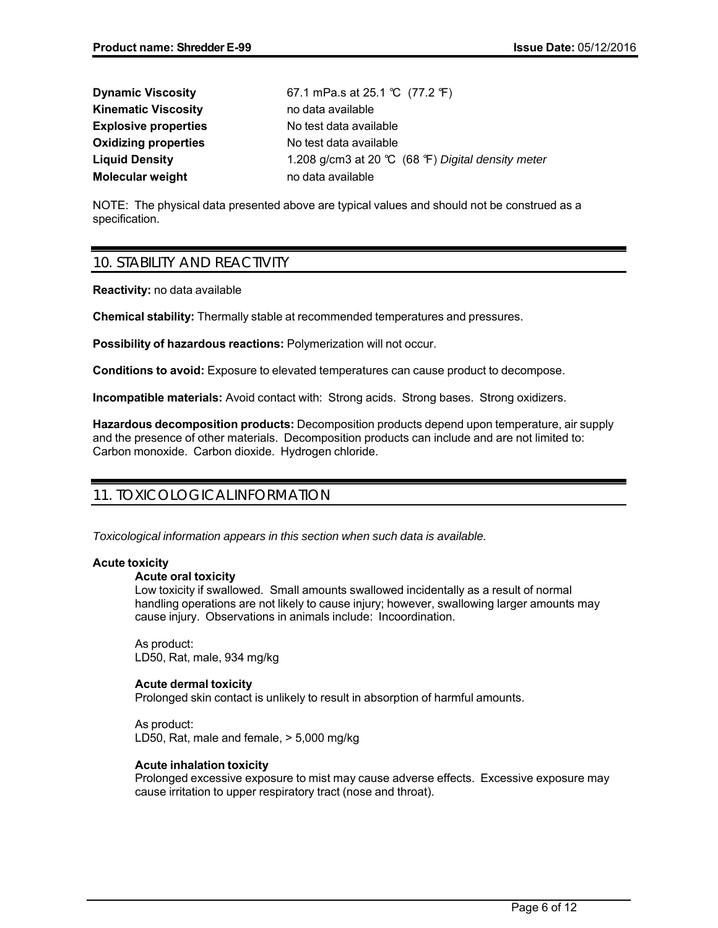| <b>Dynamic Viscosity</b>    | 67.1 mPa.s at 25.1 ℃ (77.2 °F)                    |
|-----------------------------|---------------------------------------------------|
| <b>Kinematic Viscosity</b>  | no data available                                 |
| <b>Explosive properties</b> | No test data available                            |
| <b>Oxidizing properties</b> | No test data available                            |
| <b>Liquid Density</b>       | 1.208 g/cm3 at 20 ℃ (68 °F) Digital density meter |
| <b>Molecular weight</b>     | no data available                                 |

NOTE: The physical data presented above are typical values and should not be construed as a specification.

# 10. STABILITY AND REACTIVITY

**Reactivity:** no data available

**Chemical stability:** Thermally stable at recommended temperatures and pressures.

**Possibility of hazardous reactions:** Polymerization will not occur.

**Conditions to avoid:** Exposure to elevated temperatures can cause product to decompose.

**Incompatible materials:** Avoid contact with: Strong acids. Strong bases. Strong oxidizers.

**Hazardous decomposition products:** Decomposition products depend upon temperature, air supply and the presence of other materials. Decomposition products can include and are not limited to: Carbon monoxide. Carbon dioxide. Hydrogen chloride.

# 11. TOXICOLOGICAL INFORMATION

*Toxicological information appears in this section when such data is available.*

### **Acute toxicity**

### **Acute oral toxicity**

Low toxicity if swallowed. Small amounts swallowed incidentally as a result of normal handling operations are not likely to cause injury; however, swallowing larger amounts may cause injury. Observations in animals include: Incoordination.

As product: LD50, Rat, male, 934 mg/kg

### **Acute dermal toxicity**

Prolonged skin contact is unlikely to result in absorption of harmful amounts.

As product: LD50, Rat, male and female, > 5,000 mg/kg

### **Acute inhalation toxicity**

Prolonged excessive exposure to mist may cause adverse effects. Excessive exposure may cause irritation to upper respiratory tract (nose and throat).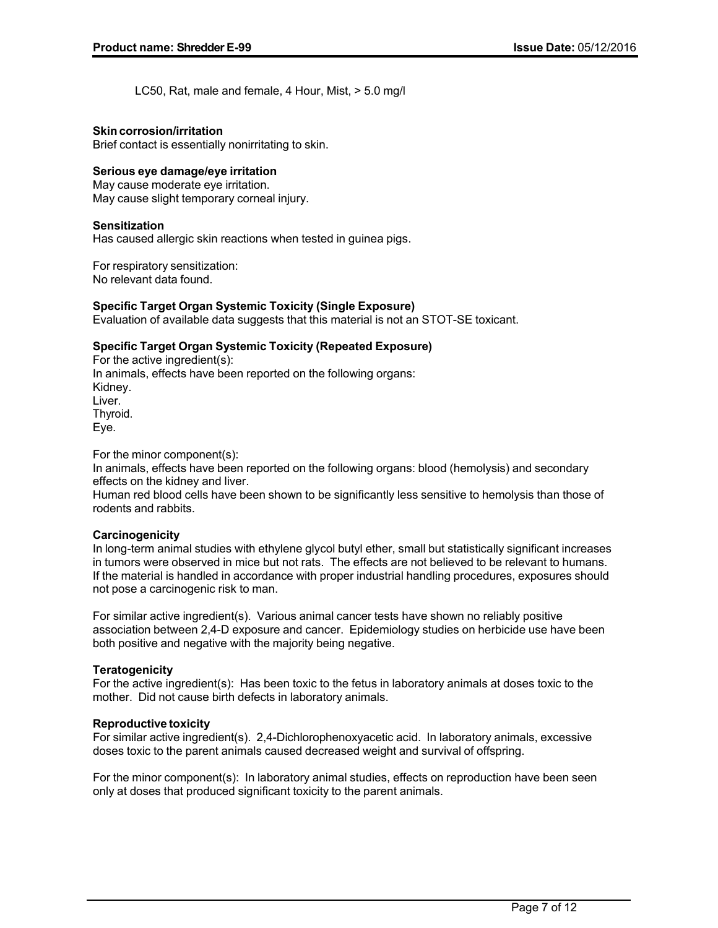LC50, Rat, male and female, 4 Hour, Mist, > 5.0 mg/l

### **Skin corrosion/irritation**

Brief contact is essentially nonirritating to skin.

### **Serious eye damage/eye irritation**

May cause moderate eye irritation. May cause slight temporary corneal injury.

### **Sensitization**

Has caused allergic skin reactions when tested in guinea pigs.

For respiratory sensitization: No relevant data found.

### **Specific Target Organ Systemic Toxicity (Single Exposure)**

Evaluation of available data suggests that this material is not an STOT-SE toxicant.

### **Specific Target Organ Systemic Toxicity (Repeated Exposure)**

For the active ingredient(s): In animals, effects have been reported on the following organs: Kidney. Liver. Thyroid. Eye.

For the minor component(s):

In animals, effects have been reported on the following organs: blood (hemolysis) and secondary effects on the kidney and liver.

Human red blood cells have been shown to be significantly less sensitive to hemolysis than those of rodents and rabbits.

### **Carcinogenicity**

In long-term animal studies with ethylene glycol butyl ether, small but statistically significant increases in tumors were observed in mice but not rats. The effects are not believed to be relevant to humans. If the material is handled in accordance with proper industrial handling procedures, exposures should not pose a carcinogenic risk to man.

For similar active ingredient(s). Various animal cancer tests have shown no reliably positive association between 2,4-D exposure and cancer. Epidemiology studies on herbicide use have been both positive and negative with the majority being negative.

### **Teratogenicity**

For the active ingredient(s): Has been toxic to the fetus in laboratory animals at doses toxic to the mother. Did not cause birth defects in laboratory animals.

### **Reproductive toxicity**

For similar active ingredient(s). 2,4-Dichlorophenoxyacetic acid. In laboratory animals, excessive doses toxic to the parent animals caused decreased weight and survival of offspring.

For the minor component(s): In laboratory animal studies, effects on reproduction have been seen only at doses that produced significant toxicity to the parent animals.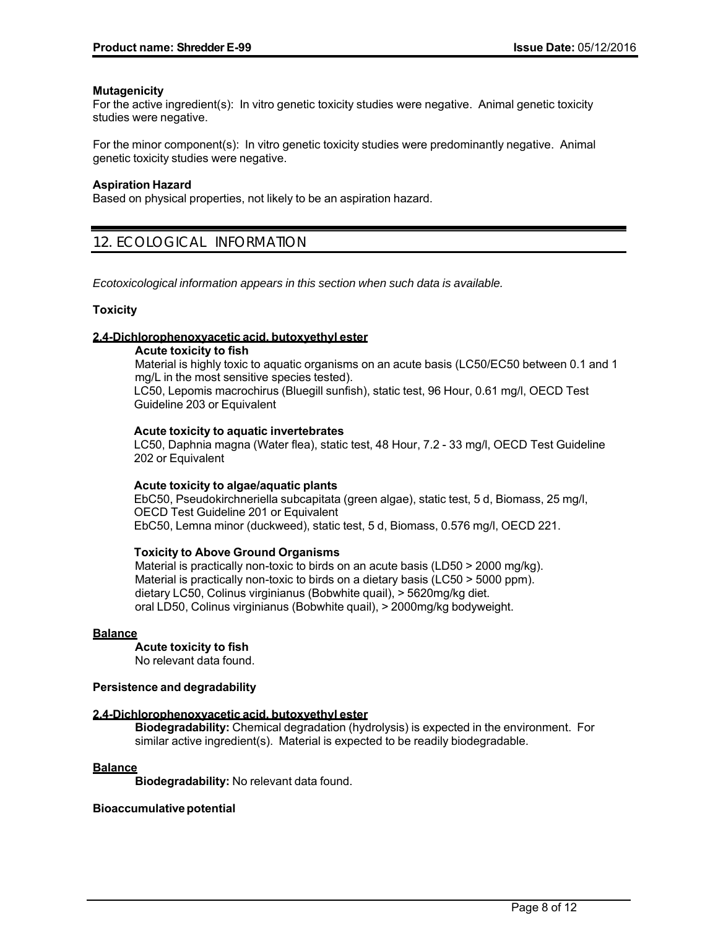### **Mutagenicity**

For the active ingredient(s): In vitro genetic toxicity studies were negative. Animal genetic toxicity studies were negative.

For the minor component(s): In vitro genetic toxicity studies were predominantly negative. Animal genetic toxicity studies were negative.

### **Aspiration Hazard**

Based on physical properties, not likely to be an aspiration hazard.

# 12. ECOLOGICAL INFORMATION

*Ecotoxicological information appears in this section when such data is available.*

### **Toxicity**

### **2,4-Dichlorophenoxyacetic acid, butoxyethyl ester**

### **Acute toxicity to fish**

Material is highly toxic to aquatic organisms on an acute basis (LC50/EC50 between 0.1 and 1 mg/L in the most sensitive species tested).

LC50, Lepomis macrochirus (Bluegill sunfish), static test, 96 Hour, 0.61 mg/l, OECD Test Guideline 203 or Equivalent

### **Acute toxicity to aquatic invertebrates**

LC50, Daphnia magna (Water flea), static test, 48 Hour, 7.2 - 33 mg/l, OECD Test Guideline 202 or Equivalent

### **Acute toxicity to algae/aquatic plants**

EbC50, Pseudokirchneriella subcapitata (green algae), static test, 5 d, Biomass, 25 mg/l, OECD Test Guideline 201 or Equivalent EbC50, Lemna minor (duckweed), static test, 5 d, Biomass, 0.576 mg/l, OECD 221.

### **Toxicity to Above Ground Organisms**

Material is practically non-toxic to birds on an acute basis (LD50 > 2000 mg/kg). Material is practically non-toxic to birds on a dietary basis (LC50 > 5000 ppm). dietary LC50, Colinus virginianus (Bobwhite quail), > 5620mg/kg diet. oral LD50, Colinus virginianus (Bobwhite quail), > 2000mg/kg bodyweight.

### **Balance**

**Acute toxicity to fish**

No relevant data found.

### **Persistence and degradability**

### **2,4-Dichlorophenoxyacetic acid, butoxyethyl ester**

**Biodegradability:** Chemical degradation (hydrolysis) is expected in the environment. For similar active ingredient(s). Material is expected to be readily biodegradable.

### **Balance**

**Biodegradability:** No relevant data found.

### **Bioaccumulative potential**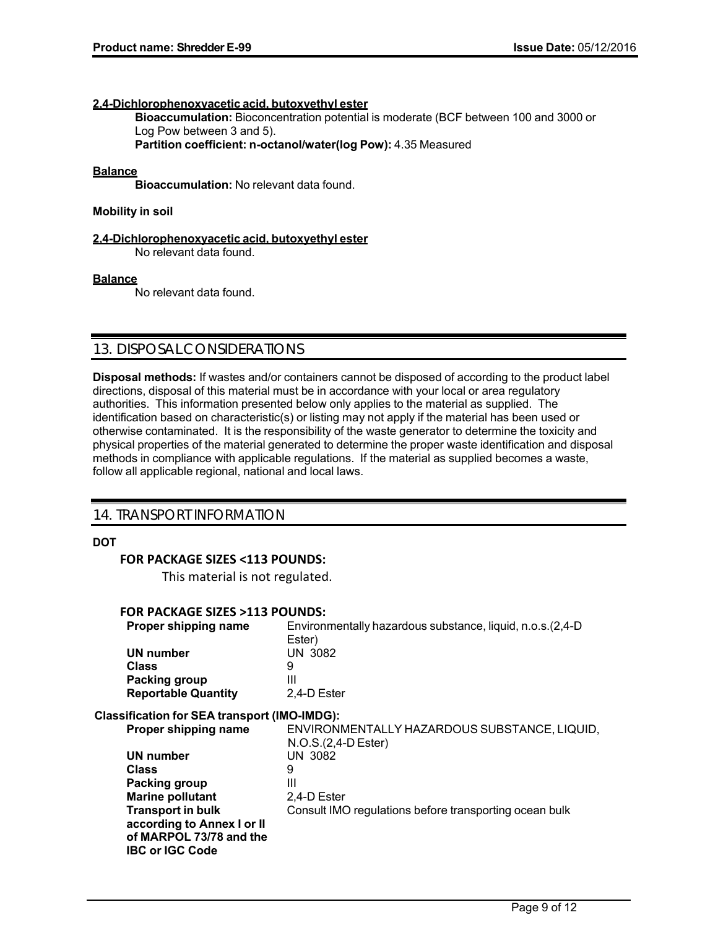### **2,4-Dichlorophenoxyacetic acid, butoxyethyl ester**

**Bioaccumulation:** Bioconcentration potential is moderate (BCF between 100 and 3000 or Log Pow between 3 and 5).

**Partition coefficient: n-octanol/water(log Pow):** 4.35 Measured

### **Balance**

**Bioaccumulation:** No relevant data found.

### **Mobility in soil**

### **2,4-Dichlorophenoxyacetic acid, butoxyethyl ester**

No relevant data found.

### **Balance**

No relevant data found.

### 13. DISPOSAL CONSIDERATIONS

**Disposal methods:** If wastes and/or containers cannot be disposed of according to the product label directions, disposal of this material must be in accordance with your local or area regulatory authorities. This information presented below only applies to the material as supplied. The identification based on characteristic(s) or listing may not apply if the material has been used or otherwise contaminated. It is the responsibility of the waste generator to determine the toxicity and physical properties of the material generated to determine the proper waste identification and disposal methods in compliance with applicable regulations. If the material as supplied becomes a waste, follow all applicable regional, national and local laws.

### 14. TRANSPORT INFORMATION

### **DOT**

### **FOR PACKAGE SIZES <113 POUNDS:**

This material is not regulated.

### **FOR PACKAGE SIZES >113 POUNDS:**

| Proper shipping name                                | Environmentally hazardous substance, liquid, n.o.s.(2,4-D<br>Ester)   |
|-----------------------------------------------------|-----------------------------------------------------------------------|
| <b>UN number</b>                                    | <b>UN 3082</b>                                                        |
| <b>Class</b>                                        | 9                                                                     |
| Packing group                                       | Ш                                                                     |
| <b>Reportable Quantity</b>                          | 2.4-D Ester                                                           |
| <b>Classification for SEA transport (IMO-IMDG):</b> |                                                                       |
| Proper shipping name                                | ENVIRONMENTALLY HAZARDOUS SUBSTANCE, LIQUID,<br>$N.O.S.(2,4-D Ester)$ |
| <b>UN number</b>                                    | UN 3082                                                               |
| <b>Class</b>                                        | 9                                                                     |
| Packing group                                       | Ш                                                                     |
| <b>Marine pollutant</b>                             | 2,4-D Ester                                                           |
| <b>Transport in bulk</b>                            | Consult IMO regulations before transporting ocean bulk                |
| according to Annex I or II                          |                                                                       |
| of MARPOL 73/78 and the                             |                                                                       |
| <b>IBC or IGC Code</b>                              |                                                                       |
|                                                     |                                                                       |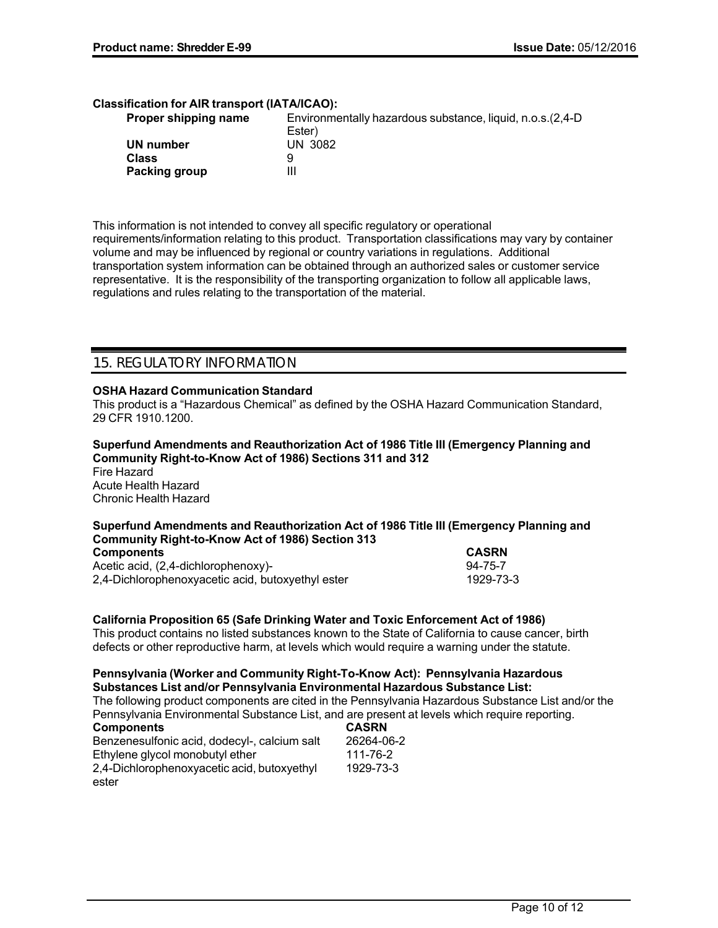### **Classification for AIR transport (IATA/ICAO):**

| Proper shipping name | Environmentally hazardous substance, liquid, n.o.s. (2,4-D) |  |
|----------------------|-------------------------------------------------------------|--|
|                      | Ester)                                                      |  |
| UN number            | UN 3082                                                     |  |
| <b>Class</b>         |                                                             |  |
| Packing group        | Ш                                                           |  |

This information is not intended to convey all specific regulatory or operational requirements/information relating to this product. Transportation classifications may vary by container volume and may be influenced by regional or country variations in regulations. Additional transportation system information can be obtained through an authorized sales or customer service representative. It is the responsibility of the transporting organization to follow all applicable laws, regulations and rules relating to the transportation of the material.

## 15. REGULATORY INFORMATION

### **OSHA Hazard Communication Standard**

This product is a "Hazardous Chemical" as defined by the OSHA Hazard Communication Standard, 29 CFR 1910.1200.

**Superfund Amendments and Reauthorization Act of 1986 Title III (Emergency Planning and Community Right-to-Know Act of 1986) Sections 311 and 312** Fire Hazard Acute Health Hazard Chronic Health Hazard

# **Superfund Amendments and Reauthorization Act of 1986 Title III (Emergency Planning and Community Right-to-Know Act of 1986) Section 313**

| <b>Components</b>                                 | <b>CASRN</b> |  |
|---------------------------------------------------|--------------|--|
| Acetic acid, (2,4-dichlorophenoxy)-               | 94-75-7      |  |
| 2,4-Dichlorophenoxyacetic acid, butoxyethyl ester | 1929-73-3    |  |

### **California Proposition 65 (Safe Drinking Water and Toxic Enforcement Act of 1986)**

This product contains no listed substances known to the State of California to cause cancer, birth defects or other reproductive harm, at levels which would require a warning under the statute.

### **Pennsylvania (Worker and Community Right-To-Know Act): Pennsylvania Hazardous Substances List and/or Pennsylvania Environmental Hazardous Substance List:**

The following product components are cited in the Pennsylvania Hazardous Substance List and/or the Pennsylvania Environmental Substance List, and are present at levels which require reporting.

| <b>Components</b>                            | <b>CASRN</b> |
|----------------------------------------------|--------------|
| Benzenesulfonic acid, dodecyl-, calcium salt | 26264-06-2   |
| Ethylene glycol monobutyl ether              | 111-76-2     |
| 2,4-Dichlorophenoxyacetic acid, butoxyethyl  | 1929-73-3    |
| ester                                        |              |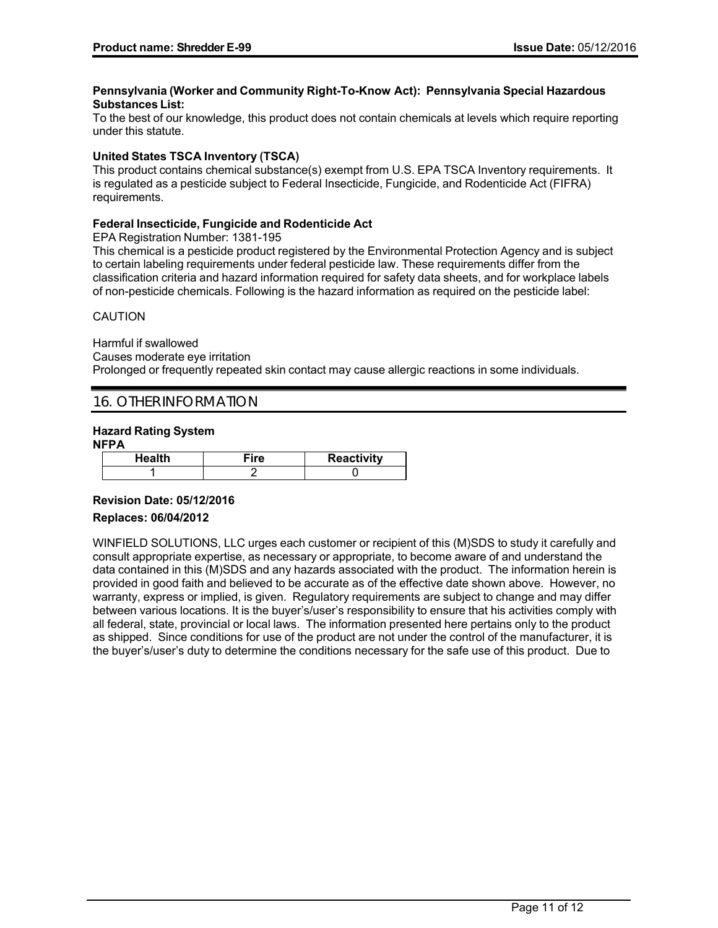### **Pennsylvania (Worker and Community Right-To-Know Act): Pennsylvania Special Hazardous Substances List:**

To the best of our knowledge, this product does not contain chemicals at levels which require reporting under this statute.

### **United States TSCA Inventory (TSCA)**

This product contains chemical substance(s) exempt from U.S. EPA TSCA Inventory requirements. It is regulated as a pesticide subject to Federal Insecticide, Fungicide, and Rodenticide Act (FIFRA) requirements.

### **Federal Insecticide, Fungicide and Rodenticide Act**

EPA Registration Number: 1381-195

This chemical is a pesticide product registered by the Environmental Protection Agency and is subject to certain labeling requirements under federal pesticide law. These requirements differ from the classification criteria and hazard information required for safety data sheets, and for workplace labels of non-pesticide chemicals. Following is the hazard information as required on the pesticide label:

### CAUTION

Harmful if swallowed Causes moderate eye irritation Prolonged or frequently repeated skin contact may cause allergic reactions in some individuals.

### 16. OTHER INFORMATION

### **Hazard Rating System**

**NFPA**

| Health | ire | <b>Reactivity</b> |
|--------|-----|-------------------|
|        |     |                   |

### **Revision Date: 05/12/2016**

### **Replaces: 06/04/2012**

WINFIELD SOLUTIONS, LLC urges each customer or recipient of this (M)SDS to study it carefully and consult appropriate expertise, as necessary or appropriate, to become aware of and understand the data contained in this (M)SDS and any hazards associated with the product. The information herein is provided in good faith and believed to be accurate as of the effective date shown above. However, no warranty, express or implied, is given. Regulatory requirements are subject to change and may differ between various locations. It is the buyer's/user's responsibility to ensure that his activities comply with all federal, state, provincial or local laws. The information presented here pertains only to the product as shipped. Since conditions for use of the product are not under the control of the manufacturer, it is the buyer's/user's duty to determine the conditions necessary for the safe use of this product. Due to